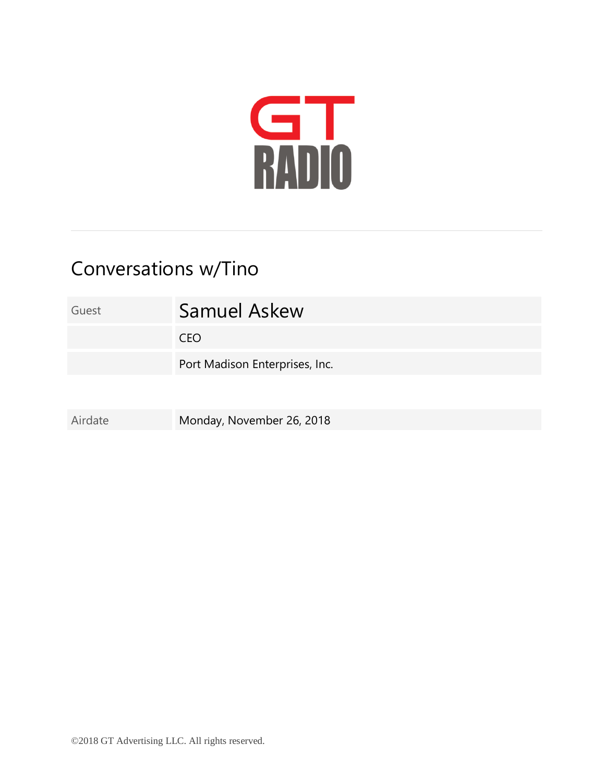

## Conversations w/Tino

| Guest   | <b>Samuel Askew</b>            |
|---------|--------------------------------|
|         | <b>CEO</b>                     |
|         | Port Madison Enterprises, Inc. |
|         |                                |
| Airdate | Monday, November 26, 2018      |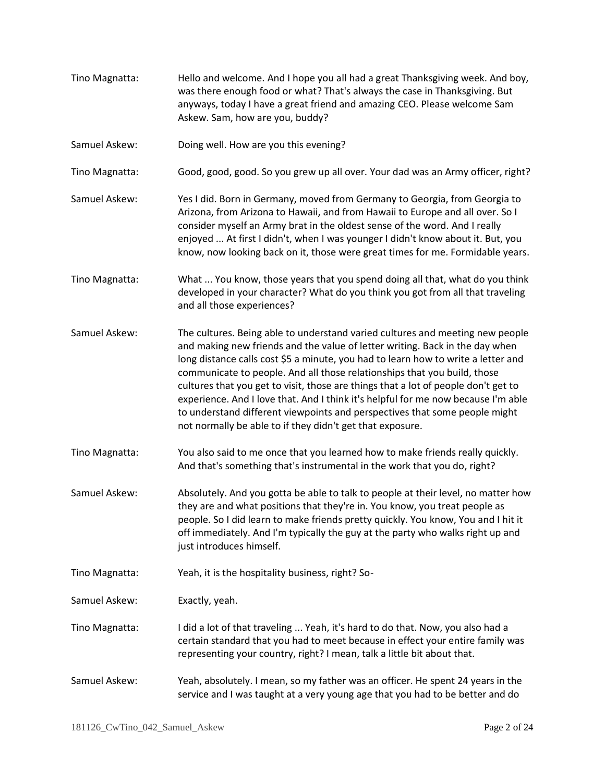Tino Magnatta: Hello and welcome. And I hope you all had a great Thanksgiving week. And boy, was there enough food or what? That's always the case in Thanksgiving. But anyways, today I have a great friend and amazing CEO. Please welcome Sam Askew. Sam, how are you, buddy? Samuel Askew: Doing well. How are you this evening? Tino Magnatta: Good, good, good. So you grew up all over. Your dad was an Army officer, right? Samuel Askew: Yes I did. Born in Germany, moved from Germany to Georgia, from Georgia to Arizona, from Arizona to Hawaii, and from Hawaii to Europe and all over. So I consider myself an Army brat in the oldest sense of the word. And I really enjoyed ... At first I didn't, when I was younger I didn't know about it. But, you know, now looking back on it, those were great times for me. Formidable years. Tino Magnatta: What ... You know, those years that you spend doing all that, what do you think developed in your character? What do you think you got from all that traveling and all those experiences? Samuel Askew: The cultures. Being able to understand varied cultures and meeting new people and making new friends and the value of letter writing. Back in the day when long distance calls cost \$5 a minute, you had to learn how to write a letter and communicate to people. And all those relationships that you build, those cultures that you get to visit, those are things that a lot of people don't get to experience. And I love that. And I think it's helpful for me now because I'm able to understand different viewpoints and perspectives that some people might not normally be able to if they didn't get that exposure. Tino Magnatta: You also said to me once that you learned how to make friends really quickly. And that's something that's instrumental in the work that you do, right? Samuel Askew: Absolutely. And you gotta be able to talk to people at their level, no matter how they are and what positions that they're in. You know, you treat people as people. So I did learn to make friends pretty quickly. You know, You and I hit it off immediately. And I'm typically the guy at the party who walks right up and just introduces himself. Tino Magnatta: Yeah, it is the hospitality business, right? So-Samuel Askew: Exactly, yeah. Tino Magnatta: I did a lot of that traveling ... Yeah, it's hard to do that. Now, you also had a certain standard that you had to meet because in effect your entire family was representing your country, right? I mean, talk a little bit about that. Samuel Askew: Yeah, absolutely. I mean, so my father was an officer. He spent 24 years in the service and I was taught at a very young age that you had to be better and do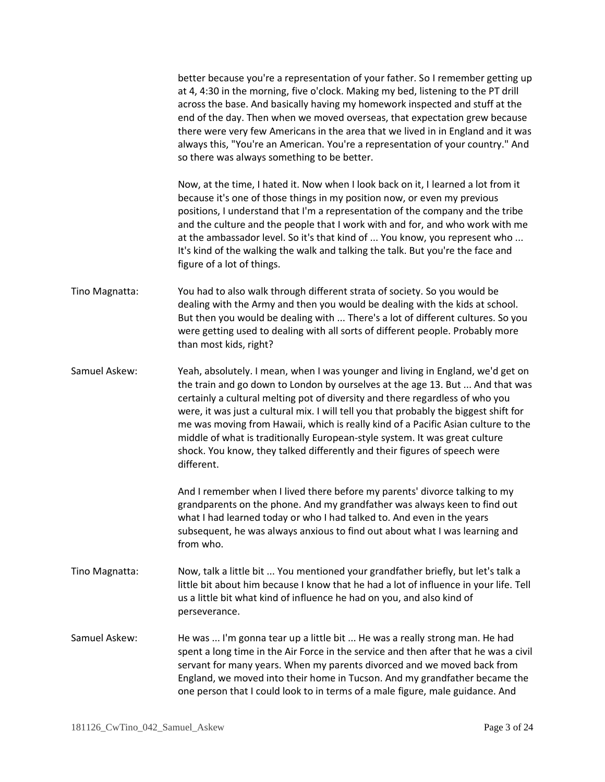better because you're a representation of your father. So I remember getting up at 4, 4:30 in the morning, five o'clock. Making my bed, listening to the PT drill across the base. And basically having my homework inspected and stuff at the end of the day. Then when we moved overseas, that expectation grew because there were very few Americans in the area that we lived in in England and it was always this, "You're an American. You're a representation of your country." And so there was always something to be better.

Now, at the time, I hated it. Now when I look back on it, I learned a lot from it because it's one of those things in my position now, or even my previous positions, I understand that I'm a representation of the company and the tribe and the culture and the people that I work with and for, and who work with me at the ambassador level. So it's that kind of ... You know, you represent who ... It's kind of the walking the walk and talking the talk. But you're the face and figure of a lot of things.

- Tino Magnatta: You had to also walk through different strata of society. So you would be dealing with the Army and then you would be dealing with the kids at school. But then you would be dealing with ... There's a lot of different cultures. So you were getting used to dealing with all sorts of different people. Probably more than most kids, right?
- Samuel Askew: Yeah, absolutely. I mean, when I was younger and living in England, we'd get on the train and go down to London by ourselves at the age 13. But ... And that was certainly a cultural melting pot of diversity and there regardless of who you were, it was just a cultural mix. I will tell you that probably the biggest shift for me was moving from Hawaii, which is really kind of a Pacific Asian culture to the middle of what is traditionally European-style system. It was great culture shock. You know, they talked differently and their figures of speech were different.

And I remember when I lived there before my parents' divorce talking to my grandparents on the phone. And my grandfather was always keen to find out what I had learned today or who I had talked to. And even in the years subsequent, he was always anxious to find out about what I was learning and from who.

- Tino Magnatta: Now, talk a little bit ... You mentioned your grandfather briefly, but let's talk a little bit about him because I know that he had a lot of influence in your life. Tell us a little bit what kind of influence he had on you, and also kind of perseverance.
- Samuel Askew: He was ... I'm gonna tear up a little bit ... He was a really strong man. He had spent a long time in the Air Force in the service and then after that he was a civil servant for many years. When my parents divorced and we moved back from England, we moved into their home in Tucson. And my grandfather became the one person that I could look to in terms of a male figure, male guidance. And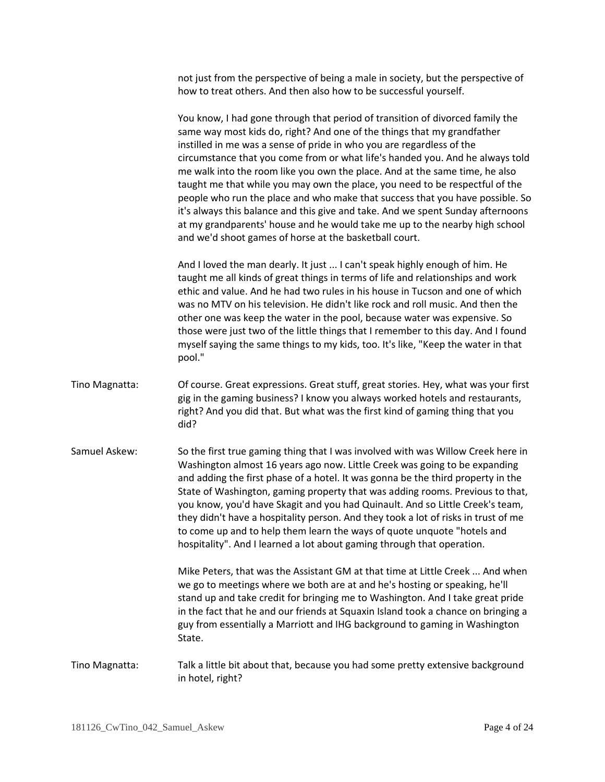not just from the perspective of being a male in society, but the perspective of how to treat others. And then also how to be successful yourself.

You know, I had gone through that period of transition of divorced family the same way most kids do, right? And one of the things that my grandfather instilled in me was a sense of pride in who you are regardless of the circumstance that you come from or what life's handed you. And he always told me walk into the room like you own the place. And at the same time, he also taught me that while you may own the place, you need to be respectful of the people who run the place and who make that success that you have possible. So it's always this balance and this give and take. And we spent Sunday afternoons at my grandparents' house and he would take me up to the nearby high school and we'd shoot games of horse at the basketball court.

And I loved the man dearly. It just ... I can't speak highly enough of him. He taught me all kinds of great things in terms of life and relationships and work ethic and value. And he had two rules in his house in Tucson and one of which was no MTV on his television. He didn't like rock and roll music. And then the other one was keep the water in the pool, because water was expensive. So those were just two of the little things that I remember to this day. And I found myself saying the same things to my kids, too. It's like, "Keep the water in that pool."

- Tino Magnatta: Of course. Great expressions. Great stuff, great stories. Hey, what was your first gig in the gaming business? I know you always worked hotels and restaurants, right? And you did that. But what was the first kind of gaming thing that you did?
- Samuel Askew: So the first true gaming thing that I was involved with was Willow Creek here in Washington almost 16 years ago now. Little Creek was going to be expanding and adding the first phase of a hotel. It was gonna be the third property in the State of Washington, gaming property that was adding rooms. Previous to that, you know, you'd have Skagit and you had Quinault. And so Little Creek's team, they didn't have a hospitality person. And they took a lot of risks in trust of me to come up and to help them learn the ways of quote unquote "hotels and hospitality". And I learned a lot about gaming through that operation.

Mike Peters, that was the Assistant GM at that time at Little Creek ... And when we go to meetings where we both are at and he's hosting or speaking, he'll stand up and take credit for bringing me to Washington. And I take great pride in the fact that he and our friends at Squaxin Island took a chance on bringing a guy from essentially a Marriott and IHG background to gaming in Washington State.

Tino Magnatta: Talk a little bit about that, because you had some pretty extensive background in hotel, right?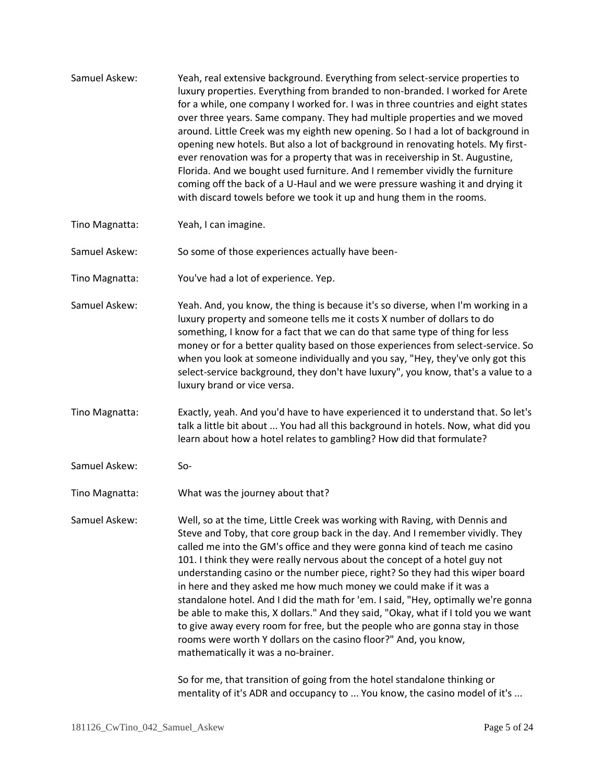- Samuel Askew: Yeah, real extensive background. Everything from select-service properties to luxury properties. Everything from branded to non-branded. I worked for Arete for a while, one company I worked for. I was in three countries and eight states over three years. Same company. They had multiple properties and we moved around. Little Creek was my eighth new opening. So I had a lot of background in opening new hotels. But also a lot of background in renovating hotels. My firstever renovation was for a property that was in receivership in St. Augustine, Florida. And we bought used furniture. And I remember vividly the furniture coming off the back of a U-Haul and we were pressure washing it and drying it with discard towels before we took it up and hung them in the rooms.
- Tino Magnatta: Yeah, I can imagine.

Samuel Askew: So some of those experiences actually have been-

- Tino Magnatta: You've had a lot of experience. Yep.
- Samuel Askew: Yeah. And, you know, the thing is because it's so diverse, when I'm working in a luxury property and someone tells me it costs X number of dollars to do something, I know for a fact that we can do that same type of thing for less money or for a better quality based on those experiences from select-service. So when you look at someone individually and you say, "Hey, they've only got this select-service background, they don't have luxury", you know, that's a value to a luxury brand or vice versa.

Tino Magnatta: Exactly, yeah. And you'd have to have experienced it to understand that. So let's talk a little bit about ... You had all this background in hotels. Now, what did you learn about how a hotel relates to gambling? How did that formulate?

- Samuel Askew: So-
- Tino Magnatta: What was the journey about that?

Samuel Askew: Well, so at the time, Little Creek was working with Raving, with Dennis and Steve and Toby, that core group back in the day. And I remember vividly. They called me into the GM's office and they were gonna kind of teach me casino 101. I think they were really nervous about the concept of a hotel guy not understanding casino or the number piece, right? So they had this wiper board in here and they asked me how much money we could make if it was a standalone hotel. And I did the math for 'em. I said, "Hey, optimally we're gonna be able to make this, X dollars." And they said, "Okay, what if I told you we want to give away every room for free, but the people who are gonna stay in those rooms were worth Y dollars on the casino floor?" And, you know, mathematically it was a no-brainer.

> So for me, that transition of going from the hotel standalone thinking or mentality of it's ADR and occupancy to ... You know, the casino model of it's ...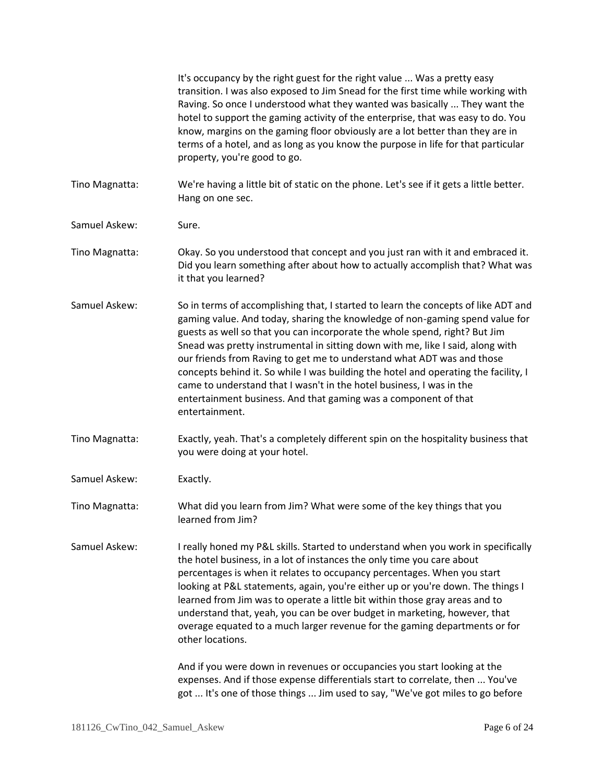|                | It's occupancy by the right guest for the right value  Was a pretty easy<br>transition. I was also exposed to Jim Snead for the first time while working with<br>Raving. So once I understood what they wanted was basically  They want the<br>hotel to support the gaming activity of the enterprise, that was easy to do. You<br>know, margins on the gaming floor obviously are a lot better than they are in<br>terms of a hotel, and as long as you know the purpose in life for that particular<br>property, you're good to go.                                                                                                                            |
|----------------|------------------------------------------------------------------------------------------------------------------------------------------------------------------------------------------------------------------------------------------------------------------------------------------------------------------------------------------------------------------------------------------------------------------------------------------------------------------------------------------------------------------------------------------------------------------------------------------------------------------------------------------------------------------|
| Tino Magnatta: | We're having a little bit of static on the phone. Let's see if it gets a little better.<br>Hang on one sec.                                                                                                                                                                                                                                                                                                                                                                                                                                                                                                                                                      |
| Samuel Askew:  | Sure.                                                                                                                                                                                                                                                                                                                                                                                                                                                                                                                                                                                                                                                            |
| Tino Magnatta: | Okay. So you understood that concept and you just ran with it and embraced it.<br>Did you learn something after about how to actually accomplish that? What was<br>it that you learned?                                                                                                                                                                                                                                                                                                                                                                                                                                                                          |
| Samuel Askew:  | So in terms of accomplishing that, I started to learn the concepts of like ADT and<br>gaming value. And today, sharing the knowledge of non-gaming spend value for<br>guests as well so that you can incorporate the whole spend, right? But Jim<br>Snead was pretty instrumental in sitting down with me, like I said, along with<br>our friends from Raving to get me to understand what ADT was and those<br>concepts behind it. So while I was building the hotel and operating the facility, I<br>came to understand that I wasn't in the hotel business, I was in the<br>entertainment business. And that gaming was a component of that<br>entertainment. |
| Tino Magnatta: | Exactly, yeah. That's a completely different spin on the hospitality business that<br>you were doing at your hotel.                                                                                                                                                                                                                                                                                                                                                                                                                                                                                                                                              |
| Samuel Askew:  | Exactly.                                                                                                                                                                                                                                                                                                                                                                                                                                                                                                                                                                                                                                                         |
| Tino Magnatta: | What did you learn from Jim? What were some of the key things that you<br>learned from Jim?                                                                                                                                                                                                                                                                                                                                                                                                                                                                                                                                                                      |
| Samuel Askew:  | I really honed my P&L skills. Started to understand when you work in specifically<br>the hotel business, in a lot of instances the only time you care about<br>percentages is when it relates to occupancy percentages. When you start<br>looking at P&L statements, again, you're either up or you're down. The things I<br>learned from Jim was to operate a little bit within those gray areas and to<br>understand that, yeah, you can be over budget in marketing, however, that<br>overage equated to a much larger revenue for the gaming departments or for<br>other locations.                                                                          |
|                | And if you were down in revenues or occupancies you start looking at the<br>expenses. And if those expense differentials start to correlate, then  You've<br>got  It's one of those things  Jim used to say, "We've got miles to go before                                                                                                                                                                                                                                                                                                                                                                                                                       |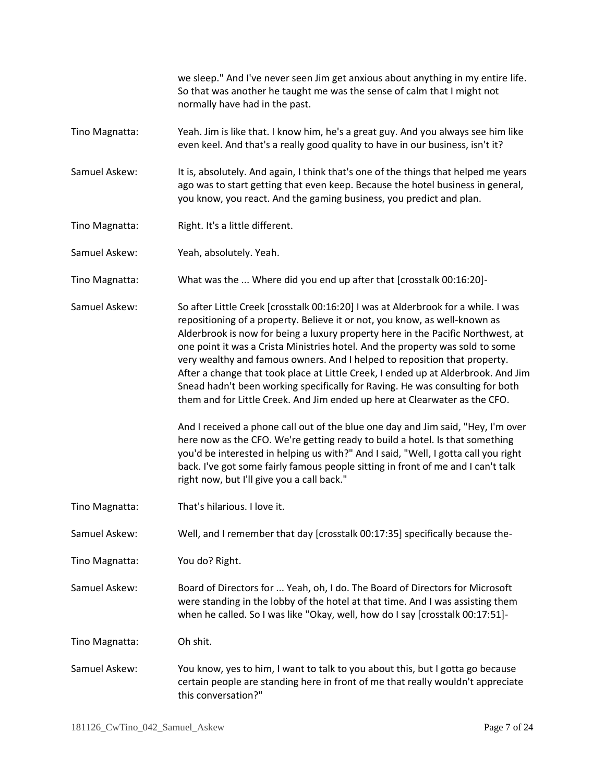we sleep." And I've never seen Jim get anxious about anything in my entire life. So that was another he taught me was the sense of calm that I might not normally have had in the past.

Tino Magnatta: Yeah. Jim is like that. I know him, he's a great guy. And you always see him like even keel. And that's a really good quality to have in our business, isn't it?

Samuel Askew: It is, absolutely. And again, I think that's one of the things that helped me years ago was to start getting that even keep. Because the hotel business in general, you know, you react. And the gaming business, you predict and plan.

- Tino Magnatta: Right. It's a little different.
- Samuel Askew: Yeah, absolutely. Yeah.

Tino Magnatta: What was the ... Where did you end up after that [crosstalk 00:16:20]-

Samuel Askew: So after Little Creek [crosstalk 00:16:20] I was at Alderbrook for a while. I was repositioning of a property. Believe it or not, you know, as well-known as Alderbrook is now for being a luxury property here in the Pacific Northwest, at one point it was a Crista Ministries hotel. And the property was sold to some very wealthy and famous owners. And I helped to reposition that property. After a change that took place at Little Creek, I ended up at Alderbrook. And Jim Snead hadn't been working specifically for Raving. He was consulting for both them and for Little Creek. And Jim ended up here at Clearwater as the CFO.

> And I received a phone call out of the blue one day and Jim said, "Hey, I'm over here now as the CFO. We're getting ready to build a hotel. Is that something you'd be interested in helping us with?" And I said, "Well, I gotta call you right back. I've got some fairly famous people sitting in front of me and I can't talk right now, but I'll give you a call back."

Tino Magnatta: That's hilarious. I love it.

Samuel Askew: Well, and I remember that day [crosstalk 00:17:35] specifically because the-

Tino Magnatta: You do? Right.

Samuel Askew: Board of Directors for ... Yeah, oh, I do. The Board of Directors for Microsoft were standing in the lobby of the hotel at that time. And I was assisting them when he called. So I was like "Okay, well, how do I say [crosstalk 00:17:51]-

Tino Magnatta: Oh shit.

Samuel Askew: You know, yes to him, I want to talk to you about this, but I gotta go because certain people are standing here in front of me that really wouldn't appreciate this conversation?"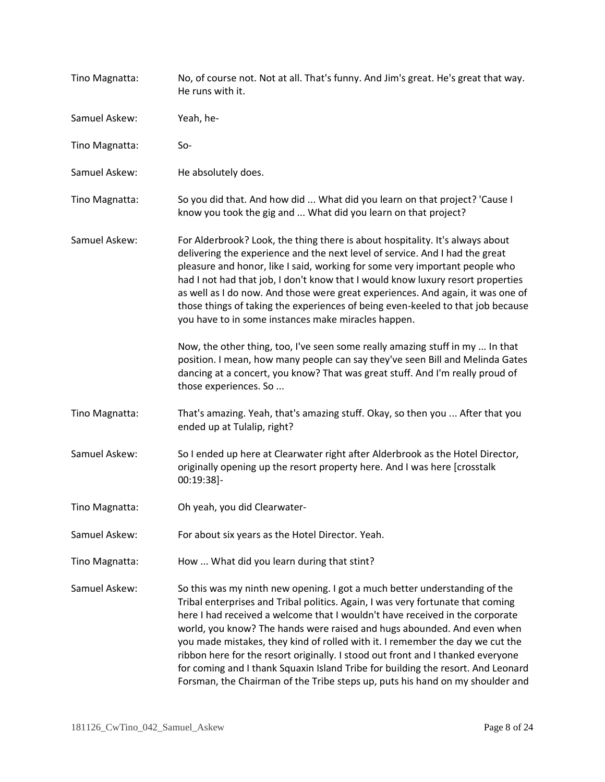| Tino Magnatta: | No, of course not. Not at all. That's funny. And Jim's great. He's great that way.<br>He runs with it.                                                                                                                                                                                                                                                                                                                                                                                                                                                                                                                                                            |
|----------------|-------------------------------------------------------------------------------------------------------------------------------------------------------------------------------------------------------------------------------------------------------------------------------------------------------------------------------------------------------------------------------------------------------------------------------------------------------------------------------------------------------------------------------------------------------------------------------------------------------------------------------------------------------------------|
| Samuel Askew:  | Yeah, he-                                                                                                                                                                                                                                                                                                                                                                                                                                                                                                                                                                                                                                                         |
| Tino Magnatta: | $So-$                                                                                                                                                                                                                                                                                                                                                                                                                                                                                                                                                                                                                                                             |
| Samuel Askew:  | He absolutely does.                                                                                                                                                                                                                                                                                                                                                                                                                                                                                                                                                                                                                                               |
| Tino Magnatta: | So you did that. And how did  What did you learn on that project? 'Cause I<br>know you took the gig and  What did you learn on that project?                                                                                                                                                                                                                                                                                                                                                                                                                                                                                                                      |
| Samuel Askew:  | For Alderbrook? Look, the thing there is about hospitality. It's always about<br>delivering the experience and the next level of service. And I had the great<br>pleasure and honor, like I said, working for some very important people who<br>had I not had that job, I don't know that I would know luxury resort properties<br>as well as I do now. And those were great experiences. And again, it was one of<br>those things of taking the experiences of being even-keeled to that job because<br>you have to in some instances make miracles happen.                                                                                                      |
|                | Now, the other thing, too, I've seen some really amazing stuff in my  In that<br>position. I mean, how many people can say they've seen Bill and Melinda Gates<br>dancing at a concert, you know? That was great stuff. And I'm really proud of<br>those experiences. So                                                                                                                                                                                                                                                                                                                                                                                          |
| Tino Magnatta: | That's amazing. Yeah, that's amazing stuff. Okay, so then you  After that you<br>ended up at Tulalip, right?                                                                                                                                                                                                                                                                                                                                                                                                                                                                                                                                                      |
| Samuel Askew:  | So I ended up here at Clearwater right after Alderbrook as the Hotel Director,<br>originally opening up the resort property here. And I was here [crosstalk<br>00:19:38]-                                                                                                                                                                                                                                                                                                                                                                                                                                                                                         |
| Tino Magnatta: | Oh yeah, you did Clearwater-                                                                                                                                                                                                                                                                                                                                                                                                                                                                                                                                                                                                                                      |
| Samuel Askew:  | For about six years as the Hotel Director. Yeah.                                                                                                                                                                                                                                                                                                                                                                                                                                                                                                                                                                                                                  |
| Tino Magnatta: | How  What did you learn during that stint?                                                                                                                                                                                                                                                                                                                                                                                                                                                                                                                                                                                                                        |
| Samuel Askew:  | So this was my ninth new opening. I got a much better understanding of the<br>Tribal enterprises and Tribal politics. Again, I was very fortunate that coming<br>here I had received a welcome that I wouldn't have received in the corporate<br>world, you know? The hands were raised and hugs abounded. And even when<br>you made mistakes, they kind of rolled with it. I remember the day we cut the<br>ribbon here for the resort originally. I stood out front and I thanked everyone<br>for coming and I thank Squaxin Island Tribe for building the resort. And Leonard<br>Forsman, the Chairman of the Tribe steps up, puts his hand on my shoulder and |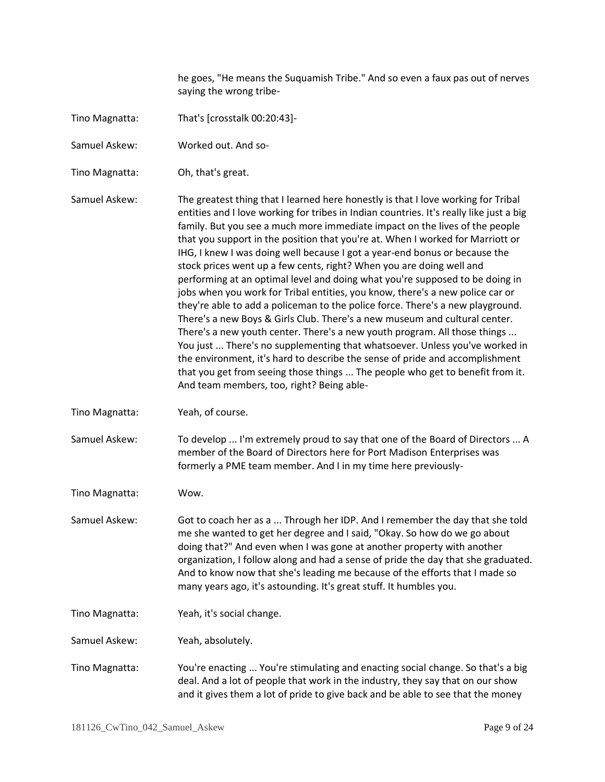he goes, "He means the Suquamish Tribe." And so even a faux pas out of nerves saying the wrong tribe-

- Tino Magnatta: That's [crosstalk 00:20:43]-
- Samuel Askew: Worked out. And so-
- Tino Magnatta: Oh, that's great.

Samuel Askew: The greatest thing that I learned here honestly is that I love working for Tribal entities and I love working for tribes in Indian countries. It's really like just a big family. But you see a much more immediate impact on the lives of the people that you support in the position that you're at. When I worked for Marriott or IHG, I knew I was doing well because I got a year-end bonus or because the stock prices went up a few cents, right? When you are doing well and performing at an optimal level and doing what you're supposed to be doing in jobs when you work for Tribal entities, you know, there's a new police car or they're able to add a policeman to the police force. There's a new playground. There's a new Boys & Girls Club. There's a new museum and cultural center. There's a new youth center. There's a new youth program. All those things ... You just ... There's no supplementing that whatsoever. Unless you've worked in the environment, it's hard to describe the sense of pride and accomplishment that you get from seeing those things ... The people who get to benefit from it. And team members, too, right? Being able-

Tino Magnatta: Yeah, of course.

Samuel Askew: To develop ... I'm extremely proud to say that one of the Board of Directors ... A member of the Board of Directors here for Port Madison Enterprises was formerly a PME team member. And I in my time here previously-

Tino Magnatta: Wow.

Samuel Askew: Got to coach her as a ... Through her IDP. And I remember the day that she told me she wanted to get her degree and I said, "Okay. So how do we go about doing that?" And even when I was gone at another property with another organization, I follow along and had a sense of pride the day that she graduated. And to know now that she's leading me because of the efforts that I made so many years ago, it's astounding. It's great stuff. It humbles you.

Tino Magnatta: Yeah, it's social change.

Samuel Askew: Yeah, absolutely.

Tino Magnatta: You're enacting ... You're stimulating and enacting social change. So that's a big deal. And a lot of people that work in the industry, they say that on our show and it gives them a lot of pride to give back and be able to see that the money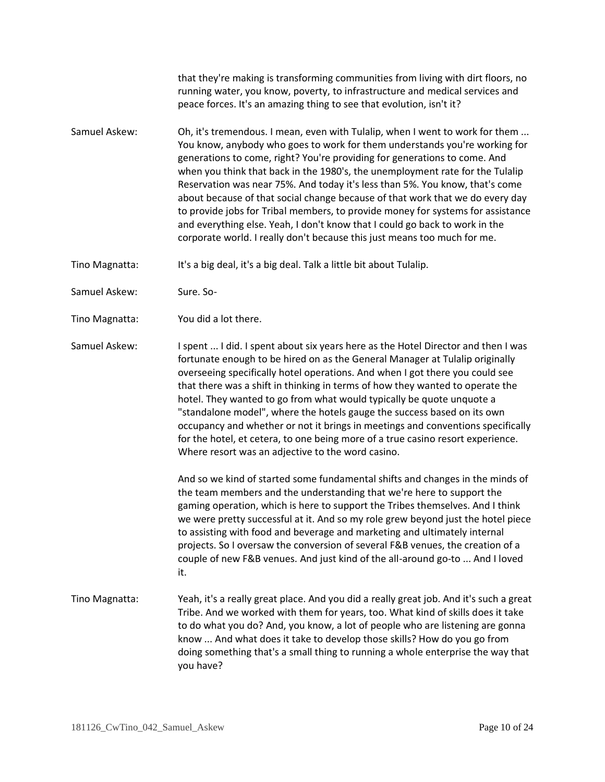that they're making is transforming communities from living with dirt floors, no running water, you know, poverty, to infrastructure and medical services and peace forces. It's an amazing thing to see that evolution, isn't it?

Samuel Askew: Oh, it's tremendous. I mean, even with Tulalip, when I went to work for them ... You know, anybody who goes to work for them understands you're working for generations to come, right? You're providing for generations to come. And when you think that back in the 1980's, the unemployment rate for the Tulalip Reservation was near 75%. And today it's less than 5%. You know, that's come about because of that social change because of that work that we do every day to provide jobs for Tribal members, to provide money for systems for assistance and everything else. Yeah, I don't know that I could go back to work in the corporate world. I really don't because this just means too much for me.

Tino Magnatta: It's a big deal, it's a big deal. Talk a little bit about Tulalip.

Samuel Askew: Sure. So-

Tino Magnatta: You did a lot there.

Samuel Askew: I spent ... I did. I spent about six years here as the Hotel Director and then I was fortunate enough to be hired on as the General Manager at Tulalip originally overseeing specifically hotel operations. And when I got there you could see that there was a shift in thinking in terms of how they wanted to operate the hotel. They wanted to go from what would typically be quote unquote a "standalone model", where the hotels gauge the success based on its own occupancy and whether or not it brings in meetings and conventions specifically for the hotel, et cetera, to one being more of a true casino resort experience. Where resort was an adjective to the word casino.

> And so we kind of started some fundamental shifts and changes in the minds of the team members and the understanding that we're here to support the gaming operation, which is here to support the Tribes themselves. And I think we were pretty successful at it. And so my role grew beyond just the hotel piece to assisting with food and beverage and marketing and ultimately internal projects. So I oversaw the conversion of several F&B venues, the creation of a couple of new F&B venues. And just kind of the all-around go-to ... And I loved it.

Tino Magnatta: Yeah, it's a really great place. And you did a really great job. And it's such a great Tribe. And we worked with them for years, too. What kind of skills does it take to do what you do? And, you know, a lot of people who are listening are gonna know ... And what does it take to develop those skills? How do you go from doing something that's a small thing to running a whole enterprise the way that you have?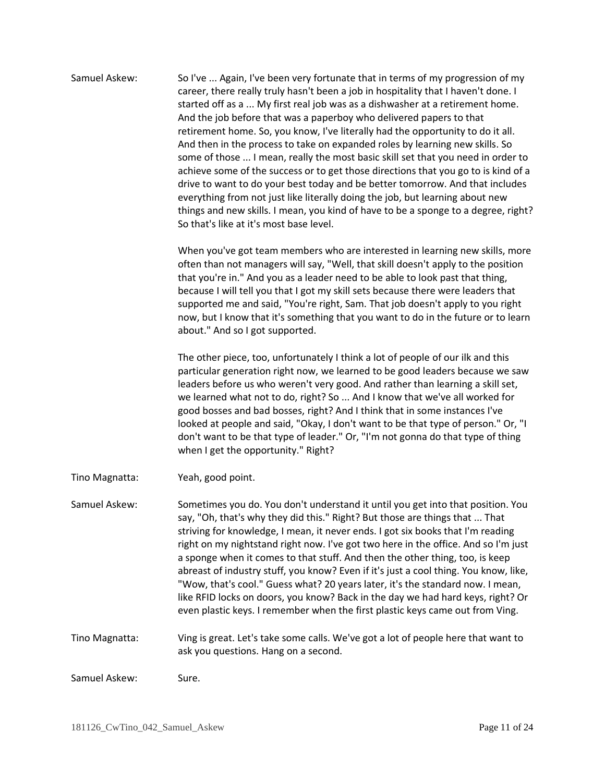| Samuel Askew:  | So I've  Again, I've been very fortunate that in terms of my progression of my<br>career, there really truly hasn't been a job in hospitality that I haven't done. I<br>started off as a  My first real job was as a dishwasher at a retirement home.<br>And the job before that was a paperboy who delivered papers to that<br>retirement home. So, you know, I've literally had the opportunity to do it all.<br>And then in the process to take on expanded roles by learning new skills. So<br>some of those  I mean, really the most basic skill set that you need in order to<br>achieve some of the success or to get those directions that you go to is kind of a<br>drive to want to do your best today and be better tomorrow. And that includes<br>everything from not just like literally doing the job, but learning about new<br>things and new skills. I mean, you kind of have to be a sponge to a degree, right?<br>So that's like at it's most base level. |
|----------------|------------------------------------------------------------------------------------------------------------------------------------------------------------------------------------------------------------------------------------------------------------------------------------------------------------------------------------------------------------------------------------------------------------------------------------------------------------------------------------------------------------------------------------------------------------------------------------------------------------------------------------------------------------------------------------------------------------------------------------------------------------------------------------------------------------------------------------------------------------------------------------------------------------------------------------------------------------------------------|
|                | When you've got team members who are interested in learning new skills, more<br>often than not managers will say, "Well, that skill doesn't apply to the position<br>that you're in." And you as a leader need to be able to look past that thing,<br>because I will tell you that I got my skill sets because there were leaders that<br>supported me and said, "You're right, Sam. That job doesn't apply to you right<br>now, but I know that it's something that you want to do in the future or to learn<br>about." And so I got supported.                                                                                                                                                                                                                                                                                                                                                                                                                             |
|                | The other piece, too, unfortunately I think a lot of people of our ilk and this<br>particular generation right now, we learned to be good leaders because we saw<br>leaders before us who weren't very good. And rather than learning a skill set,<br>we learned what not to do, right? So  And I know that we've all worked for<br>good bosses and bad bosses, right? And I think that in some instances I've<br>looked at people and said, "Okay, I don't want to be that type of person." Or, "I<br>don't want to be that type of leader." Or, "I'm not gonna do that type of thing<br>when I get the opportunity." Right?                                                                                                                                                                                                                                                                                                                                                |
| Tino Magnatta: | Yeah, good point.                                                                                                                                                                                                                                                                                                                                                                                                                                                                                                                                                                                                                                                                                                                                                                                                                                                                                                                                                            |
| Samuel Askew:  | Sometimes you do. You don't understand it until you get into that position. You<br>say, "Oh, that's why they did this." Right? But those are things that  That<br>striving for knowledge, I mean, it never ends. I got six books that I'm reading<br>right on my nightstand right now. I've got two here in the office. And so I'm just<br>a sponge when it comes to that stuff. And then the other thing, too, is keep<br>abreast of industry stuff, you know? Even if it's just a cool thing. You know, like,<br>"Wow, that's cool." Guess what? 20 years later, it's the standard now. I mean,<br>like RFID locks on doors, you know? Back in the day we had hard keys, right? Or<br>even plastic keys. I remember when the first plastic keys came out from Ving.                                                                                                                                                                                                        |
| Tino Magnatta: | Ving is great. Let's take some calls. We've got a lot of people here that want to<br>ask you questions. Hang on a second.                                                                                                                                                                                                                                                                                                                                                                                                                                                                                                                                                                                                                                                                                                                                                                                                                                                    |
| Samuel Askew:  | Sure.                                                                                                                                                                                                                                                                                                                                                                                                                                                                                                                                                                                                                                                                                                                                                                                                                                                                                                                                                                        |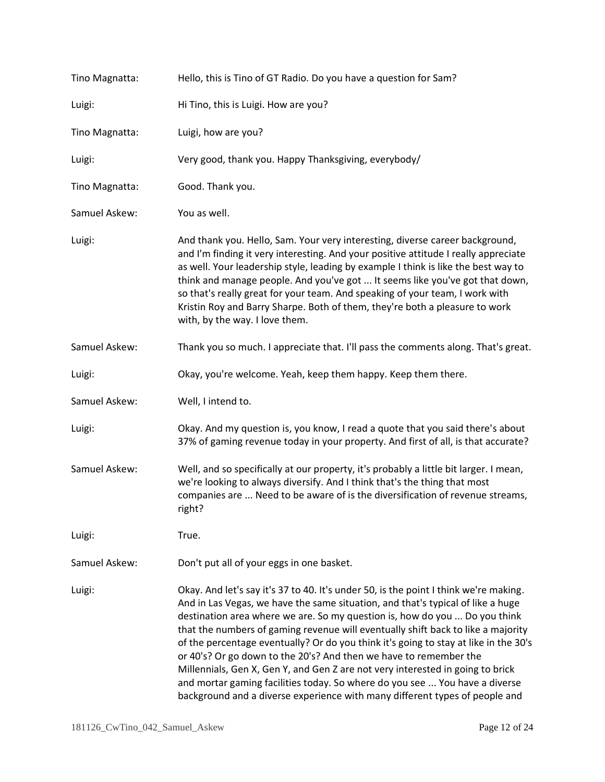| Tino Magnatta: | Hello, this is Tino of GT Radio. Do you have a question for Sam?                                                                                                                                                                                                                                                                                                                                                                                                                                                                                                                                                                                                                                                                                       |
|----------------|--------------------------------------------------------------------------------------------------------------------------------------------------------------------------------------------------------------------------------------------------------------------------------------------------------------------------------------------------------------------------------------------------------------------------------------------------------------------------------------------------------------------------------------------------------------------------------------------------------------------------------------------------------------------------------------------------------------------------------------------------------|
| Luigi:         | Hi Tino, this is Luigi. How are you?                                                                                                                                                                                                                                                                                                                                                                                                                                                                                                                                                                                                                                                                                                                   |
| Tino Magnatta: | Luigi, how are you?                                                                                                                                                                                                                                                                                                                                                                                                                                                                                                                                                                                                                                                                                                                                    |
| Luigi:         | Very good, thank you. Happy Thanksgiving, everybody/                                                                                                                                                                                                                                                                                                                                                                                                                                                                                                                                                                                                                                                                                                   |
| Tino Magnatta: | Good. Thank you.                                                                                                                                                                                                                                                                                                                                                                                                                                                                                                                                                                                                                                                                                                                                       |
| Samuel Askew:  | You as well.                                                                                                                                                                                                                                                                                                                                                                                                                                                                                                                                                                                                                                                                                                                                           |
| Luigi:         | And thank you. Hello, Sam. Your very interesting, diverse career background,<br>and I'm finding it very interesting. And your positive attitude I really appreciate<br>as well. Your leadership style, leading by example I think is like the best way to<br>think and manage people. And you've got  It seems like you've got that down,<br>so that's really great for your team. And speaking of your team, I work with<br>Kristin Roy and Barry Sharpe. Both of them, they're both a pleasure to work<br>with, by the way. I love them.                                                                                                                                                                                                             |
| Samuel Askew:  | Thank you so much. I appreciate that. I'll pass the comments along. That's great.                                                                                                                                                                                                                                                                                                                                                                                                                                                                                                                                                                                                                                                                      |
| Luigi:         | Okay, you're welcome. Yeah, keep them happy. Keep them there.                                                                                                                                                                                                                                                                                                                                                                                                                                                                                                                                                                                                                                                                                          |
| Samuel Askew:  | Well, I intend to.                                                                                                                                                                                                                                                                                                                                                                                                                                                                                                                                                                                                                                                                                                                                     |
| Luigi:         | Okay. And my question is, you know, I read a quote that you said there's about<br>37% of gaming revenue today in your property. And first of all, is that accurate?                                                                                                                                                                                                                                                                                                                                                                                                                                                                                                                                                                                    |
| Samuel Askew:  | Well, and so specifically at our property, it's probably a little bit larger. I mean,<br>we're looking to always diversify. And I think that's the thing that most<br>companies are  Need to be aware of is the diversification of revenue streams,<br>right?                                                                                                                                                                                                                                                                                                                                                                                                                                                                                          |
| Luigi:         | True.                                                                                                                                                                                                                                                                                                                                                                                                                                                                                                                                                                                                                                                                                                                                                  |
| Samuel Askew:  | Don't put all of your eggs in one basket.                                                                                                                                                                                                                                                                                                                                                                                                                                                                                                                                                                                                                                                                                                              |
| Luigi:         | Okay. And let's say it's 37 to 40. It's under 50, is the point I think we're making.<br>And in Las Vegas, we have the same situation, and that's typical of like a huge<br>destination area where we are. So my question is, how do you  Do you think<br>that the numbers of gaming revenue will eventually shift back to like a majority<br>of the percentage eventually? Or do you think it's going to stay at like in the 30's<br>or 40's? Or go down to the 20's? And then we have to remember the<br>Millennials, Gen X, Gen Y, and Gen Z are not very interested in going to brick<br>and mortar gaming facilities today. So where do you see  You have a diverse<br>background and a diverse experience with many different types of people and |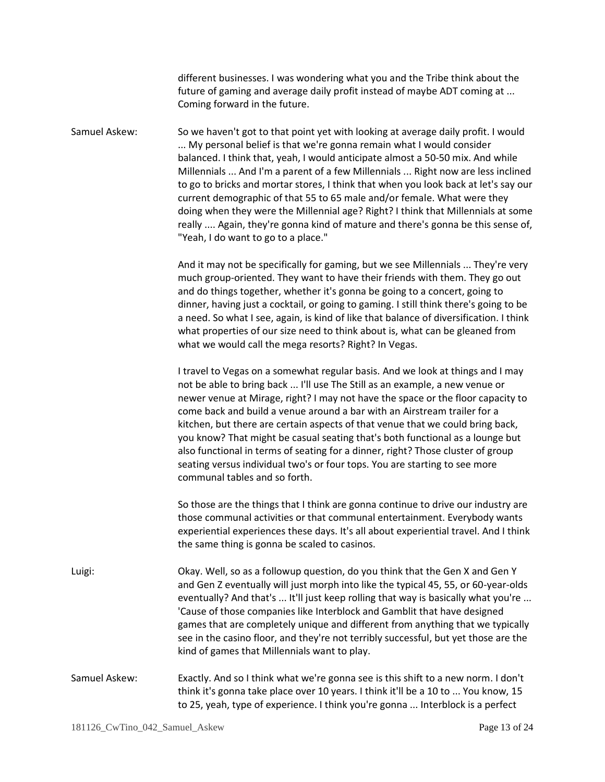different businesses. I was wondering what you and the Tribe think about the future of gaming and average daily profit instead of maybe ADT coming at ... Coming forward in the future.

Samuel Askew: So we haven't got to that point yet with looking at average daily profit. I would ... My personal belief is that we're gonna remain what I would consider balanced. I think that, yeah, I would anticipate almost a 50-50 mix. And while Millennials ... And I'm a parent of a few Millennials ... Right now are less inclined to go to bricks and mortar stores, I think that when you look back at let's say our current demographic of that 55 to 65 male and/or female. What were they doing when they were the Millennial age? Right? I think that Millennials at some really .... Again, they're gonna kind of mature and there's gonna be this sense of, "Yeah, I do want to go to a place."

> And it may not be specifically for gaming, but we see Millennials ... They're very much group-oriented. They want to have their friends with them. They go out and do things together, whether it's gonna be going to a concert, going to dinner, having just a cocktail, or going to gaming. I still think there's going to be a need. So what I see, again, is kind of like that balance of diversification. I think what properties of our size need to think about is, what can be gleaned from what we would call the mega resorts? Right? In Vegas.

> I travel to Vegas on a somewhat regular basis. And we look at things and I may not be able to bring back ... I'll use The Still as an example, a new venue or newer venue at Mirage, right? I may not have the space or the floor capacity to come back and build a venue around a bar with an Airstream trailer for a kitchen, but there are certain aspects of that venue that we could bring back, you know? That might be casual seating that's both functional as a lounge but also functional in terms of seating for a dinner, right? Those cluster of group seating versus individual two's or four tops. You are starting to see more communal tables and so forth.

> So those are the things that I think are gonna continue to drive our industry are those communal activities or that communal entertainment. Everybody wants experiential experiences these days. It's all about experiential travel. And I think the same thing is gonna be scaled to casinos.

- Luigi: Okay. Well, so as a followup question, do you think that the Gen X and Gen Y and Gen Z eventually will just morph into like the typical 45, 55, or 60-year-olds eventually? And that's ... It'll just keep rolling that way is basically what you're ... 'Cause of those companies like Interblock and Gamblit that have designed games that are completely unique and different from anything that we typically see in the casino floor, and they're not terribly successful, but yet those are the kind of games that Millennials want to play.
- Samuel Askew: Exactly. And so I think what we're gonna see is this shift to a new norm. I don't think it's gonna take place over 10 years. I think it'll be a 10 to ... You know, 15 to 25, yeah, type of experience. I think you're gonna ... Interblock is a perfect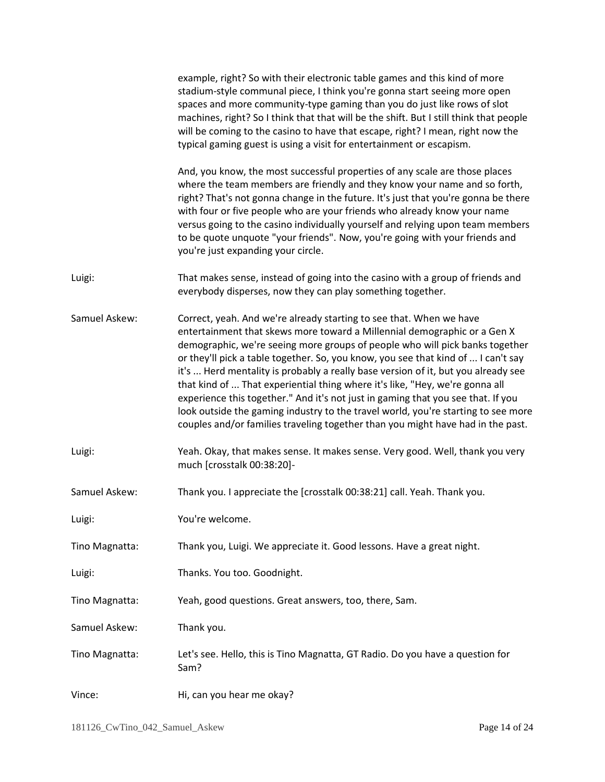|                | example, right? So with their electronic table games and this kind of more<br>stadium-style communal piece, I think you're gonna start seeing more open<br>spaces and more community-type gaming than you do just like rows of slot<br>machines, right? So I think that that will be the shift. But I still think that people<br>will be coming to the casino to have that escape, right? I mean, right now the<br>typical gaming guest is using a visit for entertainment or escapism.                                                                                                                                                                                                                                                               |
|----------------|-------------------------------------------------------------------------------------------------------------------------------------------------------------------------------------------------------------------------------------------------------------------------------------------------------------------------------------------------------------------------------------------------------------------------------------------------------------------------------------------------------------------------------------------------------------------------------------------------------------------------------------------------------------------------------------------------------------------------------------------------------|
|                | And, you know, the most successful properties of any scale are those places<br>where the team members are friendly and they know your name and so forth,<br>right? That's not gonna change in the future. It's just that you're gonna be there<br>with four or five people who are your friends who already know your name<br>versus going to the casino individually yourself and relying upon team members<br>to be quote unquote "your friends". Now, you're going with your friends and<br>you're just expanding your circle.                                                                                                                                                                                                                     |
| Luigi:         | That makes sense, instead of going into the casino with a group of friends and<br>everybody disperses, now they can play something together.                                                                                                                                                                                                                                                                                                                                                                                                                                                                                                                                                                                                          |
| Samuel Askew:  | Correct, yeah. And we're already starting to see that. When we have<br>entertainment that skews more toward a Millennial demographic or a Gen X<br>demographic, we're seeing more groups of people who will pick banks together<br>or they'll pick a table together. So, you know, you see that kind of  I can't say<br>it's  Herd mentality is probably a really base version of it, but you already see<br>that kind of  That experiential thing where it's like, "Hey, we're gonna all<br>experience this together." And it's not just in gaming that you see that. If you<br>look outside the gaming industry to the travel world, you're starting to see more<br>couples and/or families traveling together than you might have had in the past. |
| Luigi:         | Yeah. Okay, that makes sense. It makes sense. Very good. Well, thank you very<br>much [crosstalk 00:38:20]-                                                                                                                                                                                                                                                                                                                                                                                                                                                                                                                                                                                                                                           |
| Samuel Askew:  | Thank you. I appreciate the [crosstalk 00:38:21] call. Yeah. Thank you.                                                                                                                                                                                                                                                                                                                                                                                                                                                                                                                                                                                                                                                                               |
| Luigi:         | You're welcome.                                                                                                                                                                                                                                                                                                                                                                                                                                                                                                                                                                                                                                                                                                                                       |
| Tino Magnatta: | Thank you, Luigi. We appreciate it. Good lessons. Have a great night.                                                                                                                                                                                                                                                                                                                                                                                                                                                                                                                                                                                                                                                                                 |
| Luigi:         | Thanks. You too. Goodnight.                                                                                                                                                                                                                                                                                                                                                                                                                                                                                                                                                                                                                                                                                                                           |
| Tino Magnatta: | Yeah, good questions. Great answers, too, there, Sam.                                                                                                                                                                                                                                                                                                                                                                                                                                                                                                                                                                                                                                                                                                 |
| Samuel Askew:  | Thank you.                                                                                                                                                                                                                                                                                                                                                                                                                                                                                                                                                                                                                                                                                                                                            |
| Tino Magnatta: | Let's see. Hello, this is Tino Magnatta, GT Radio. Do you have a question for<br>Sam?                                                                                                                                                                                                                                                                                                                                                                                                                                                                                                                                                                                                                                                                 |
| Vince:         | Hi, can you hear me okay?                                                                                                                                                                                                                                                                                                                                                                                                                                                                                                                                                                                                                                                                                                                             |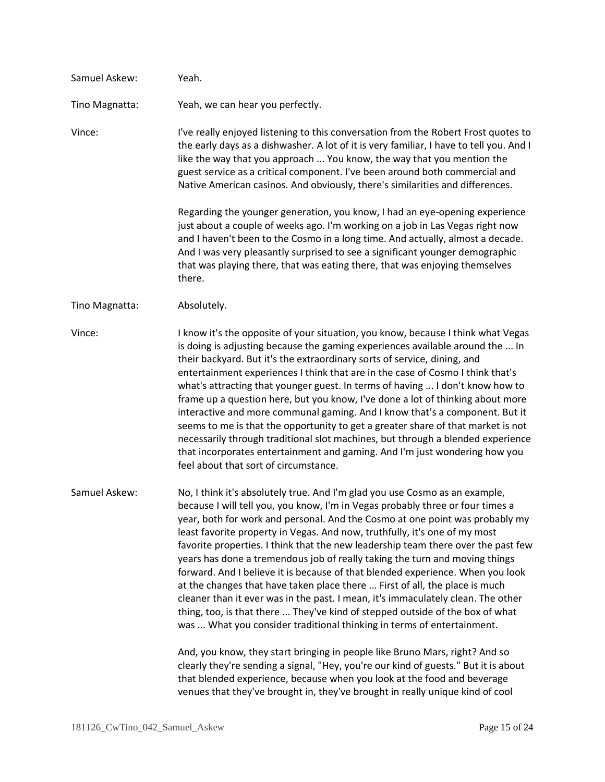| Samuel Askew:  | Yeah.                                                                                                                                                                                                                                                                                                                                                                                                                                                                                                                                                                                                                                                                                                                                                                                                                                                                                                           |
|----------------|-----------------------------------------------------------------------------------------------------------------------------------------------------------------------------------------------------------------------------------------------------------------------------------------------------------------------------------------------------------------------------------------------------------------------------------------------------------------------------------------------------------------------------------------------------------------------------------------------------------------------------------------------------------------------------------------------------------------------------------------------------------------------------------------------------------------------------------------------------------------------------------------------------------------|
| Tino Magnatta: | Yeah, we can hear you perfectly.                                                                                                                                                                                                                                                                                                                                                                                                                                                                                                                                                                                                                                                                                                                                                                                                                                                                                |
| Vince:         | I've really enjoyed listening to this conversation from the Robert Frost quotes to<br>the early days as a dishwasher. A lot of it is very familiar, I have to tell you. And I<br>like the way that you approach  You know, the way that you mention the<br>guest service as a critical component. I've been around both commercial and<br>Native American casinos. And obviously, there's similarities and differences.                                                                                                                                                                                                                                                                                                                                                                                                                                                                                         |
|                | Regarding the younger generation, you know, I had an eye-opening experience<br>just about a couple of weeks ago. I'm working on a job in Las Vegas right now<br>and I haven't been to the Cosmo in a long time. And actually, almost a decade.<br>And I was very pleasantly surprised to see a significant younger demographic<br>that was playing there, that was eating there, that was enjoying themselves<br>there.                                                                                                                                                                                                                                                                                                                                                                                                                                                                                         |
| Tino Magnatta: | Absolutely.                                                                                                                                                                                                                                                                                                                                                                                                                                                                                                                                                                                                                                                                                                                                                                                                                                                                                                     |
| Vince:         | I know it's the opposite of your situation, you know, because I think what Vegas<br>is doing is adjusting because the gaming experiences available around the  In<br>their backyard. But it's the extraordinary sorts of service, dining, and<br>entertainment experiences I think that are in the case of Cosmo I think that's<br>what's attracting that younger guest. In terms of having  I don't know how to<br>frame up a question here, but you know, I've done a lot of thinking about more<br>interactive and more communal gaming. And I know that's a component. But it<br>seems to me is that the opportunity to get a greater share of that market is not<br>necessarily through traditional slot machines, but through a blended experience<br>that incorporates entertainment and gaming. And I'm just wondering how you<br>feel about that sort of circumstance.                                 |
| Samuel Askew:  | No, I think it's absolutely true. And I'm glad you use Cosmo as an example,<br>because I will tell you, you know, I'm in Vegas probably three or four times a<br>year, both for work and personal. And the Cosmo at one point was probably my<br>least favorite property in Vegas. And now, truthfully, it's one of my most<br>favorite properties. I think that the new leadership team there over the past few<br>years has done a tremendous job of really taking the turn and moving things<br>forward. And I believe it is because of that blended experience. When you look<br>at the changes that have taken place there  First of all, the place is much<br>cleaner than it ever was in the past. I mean, it's immaculately clean. The other<br>thing, too, is that there  They've kind of stepped outside of the box of what<br>was  What you consider traditional thinking in terms of entertainment. |
|                | And, you know, they start bringing in people like Bruno Mars, right? And so<br>clearly they're sending a signal, "Hey, you're our kind of guests." But it is about<br>that blended experience, because when you look at the food and beverage<br>venues that they've brought in, they've brought in really unique kind of cool                                                                                                                                                                                                                                                                                                                                                                                                                                                                                                                                                                                  |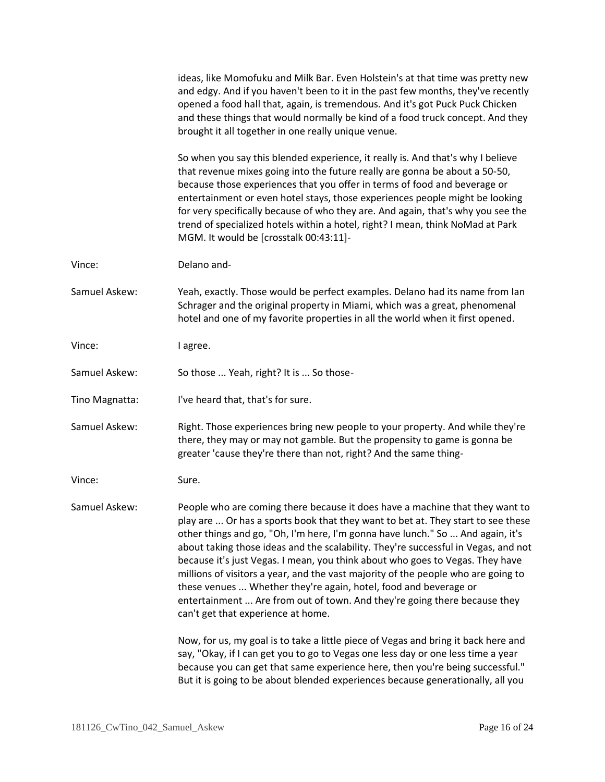ideas, like Momofuku and Milk Bar. Even Holstein's at that time was pretty new and edgy. And if you haven't been to it in the past few months, they've recently opened a food hall that, again, is tremendous. And it's got Puck Puck Chicken and these things that would normally be kind of a food truck concept. And they brought it all together in one really unique venue.

So when you say this blended experience, it really is. And that's why I believe that revenue mixes going into the future really are gonna be about a 50-50, because those experiences that you offer in terms of food and beverage or entertainment or even hotel stays, those experiences people might be looking for very specifically because of who they are. And again, that's why you see the trend of specialized hotels within a hotel, right? I mean, think NoMad at Park MGM. It would be [crosstalk 00:43:11]-

Vince: Delano and-

Samuel Askew: Yeah, exactly. Those would be perfect examples. Delano had its name from Ian Schrager and the original property in Miami, which was a great, phenomenal hotel and one of my favorite properties in all the world when it first opened.

Vince: lagree.

Samuel Askew: So those ... Yeah, right? It is ... So those-

Tino Magnatta: I've heard that, that's for sure.

Samuel Askew: Right. Those experiences bring new people to your property. And while they're there, they may or may not gamble. But the propensity to game is gonna be greater 'cause they're there than not, right? And the same thing-

Vince: Sure.

Samuel Askew: People who are coming there because it does have a machine that they want to play are ... Or has a sports book that they want to bet at. They start to see these other things and go, "Oh, I'm here, I'm gonna have lunch." So ... And again, it's about taking those ideas and the scalability. They're successful in Vegas, and not because it's just Vegas. I mean, you think about who goes to Vegas. They have millions of visitors a year, and the vast majority of the people who are going to these venues ... Whether they're again, hotel, food and beverage or entertainment ... Are from out of town. And they're going there because they can't get that experience at home.

> Now, for us, my goal is to take a little piece of Vegas and bring it back here and say, "Okay, if I can get you to go to Vegas one less day or one less time a year because you can get that same experience here, then you're being successful." But it is going to be about blended experiences because generationally, all you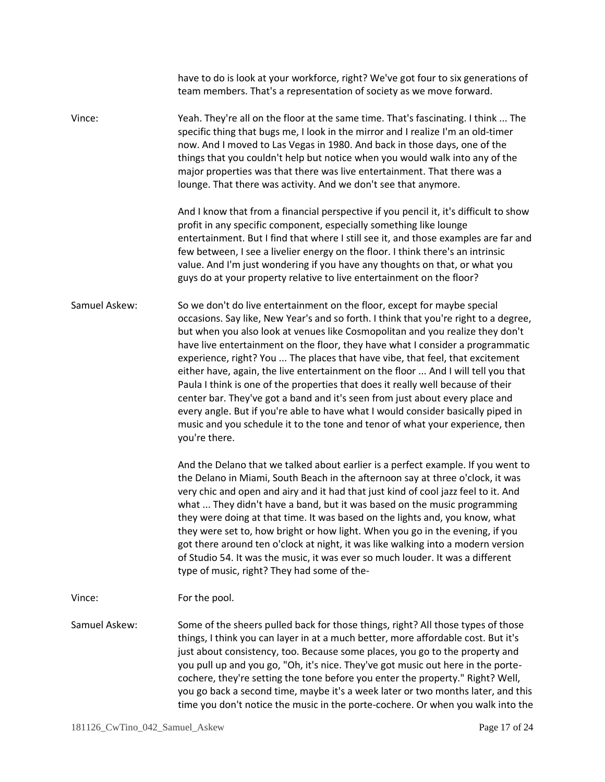|               | have to do is look at your workforce, right? We've got four to six generations of<br>team members. That's a representation of society as we move forward.                                                                                                                                                                                                                                                                                                                                                                                                                                                                                                                                                                                                                                                                                                           |
|---------------|---------------------------------------------------------------------------------------------------------------------------------------------------------------------------------------------------------------------------------------------------------------------------------------------------------------------------------------------------------------------------------------------------------------------------------------------------------------------------------------------------------------------------------------------------------------------------------------------------------------------------------------------------------------------------------------------------------------------------------------------------------------------------------------------------------------------------------------------------------------------|
| Vince:        | Yeah. They're all on the floor at the same time. That's fascinating. I think  The<br>specific thing that bugs me, I look in the mirror and I realize I'm an old-timer<br>now. And I moved to Las Vegas in 1980. And back in those days, one of the<br>things that you couldn't help but notice when you would walk into any of the<br>major properties was that there was live entertainment. That there was a<br>lounge. That there was activity. And we don't see that anymore.                                                                                                                                                                                                                                                                                                                                                                                   |
|               | And I know that from a financial perspective if you pencil it, it's difficult to show<br>profit in any specific component, especially something like lounge<br>entertainment. But I find that where I still see it, and those examples are far and<br>few between, I see a livelier energy on the floor. I think there's an intrinsic<br>value. And I'm just wondering if you have any thoughts on that, or what you<br>guys do at your property relative to live entertainment on the floor?                                                                                                                                                                                                                                                                                                                                                                       |
| Samuel Askew: | So we don't do live entertainment on the floor, except for maybe special<br>occasions. Say like, New Year's and so forth. I think that you're right to a degree,<br>but when you also look at venues like Cosmopolitan and you realize they don't<br>have live entertainment on the floor, they have what I consider a programmatic<br>experience, right? You  The places that have vibe, that feel, that excitement<br>either have, again, the live entertainment on the floor  And I will tell you that<br>Paula I think is one of the properties that does it really well because of their<br>center bar. They've got a band and it's seen from just about every place and<br>every angle. But if you're able to have what I would consider basically piped in<br>music and you schedule it to the tone and tenor of what your experience, then<br>you're there. |
|               | And the Delano that we talked about earlier is a perfect example. If you went to<br>the Delano in Miami, South Beach in the afternoon say at three o'clock, it was<br>very chic and open and airy and it had that just kind of cool jazz feel to it. And<br>what  They didn't have a band, but it was based on the music programming<br>they were doing at that time. It was based on the lights and, you know, what<br>they were set to, how bright or how light. When you go in the evening, if you<br>got there around ten o'clock at night, it was like walking into a modern version<br>of Studio 54. It was the music, it was ever so much louder. It was a different<br>type of music, right? They had some of the-                                                                                                                                          |
| Vince:        | For the pool.                                                                                                                                                                                                                                                                                                                                                                                                                                                                                                                                                                                                                                                                                                                                                                                                                                                       |
| Samuel Askew: | Some of the sheers pulled back for those things, right? All those types of those<br>things, I think you can layer in at a much better, more affordable cost. But it's<br>just about consistency, too. Because some places, you go to the property and<br>you pull up and you go, "Oh, it's nice. They've got music out here in the porte-<br>cochere, they're setting the tone before you enter the property." Right? Well,<br>you go back a second time, maybe it's a week later or two months later, and this<br>time you don't notice the music in the porte-cochere. Or when you walk into the                                                                                                                                                                                                                                                                  |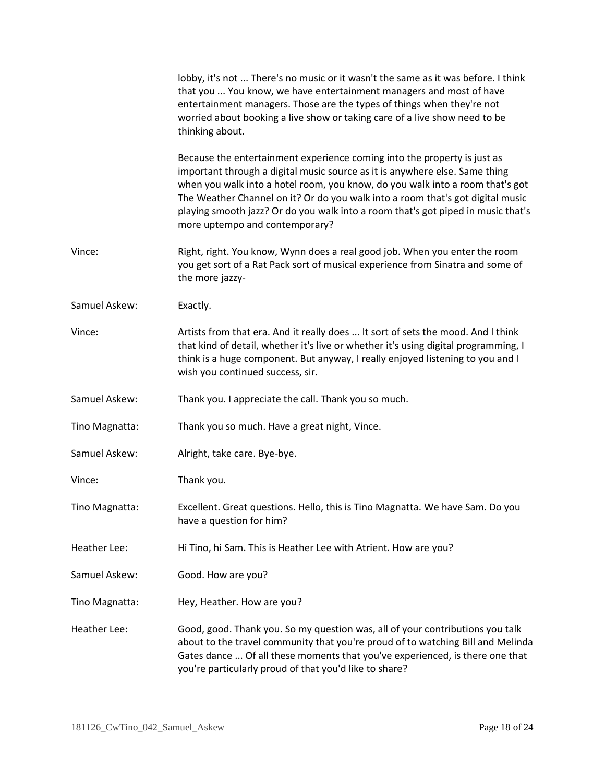|                | lobby, it's not  There's no music or it wasn't the same as it was before. I think<br>that you  You know, we have entertainment managers and most of have<br>entertainment managers. Those are the types of things when they're not<br>worried about booking a live show or taking care of a live show need to be<br>thinking about.                                                                                                              |
|----------------|--------------------------------------------------------------------------------------------------------------------------------------------------------------------------------------------------------------------------------------------------------------------------------------------------------------------------------------------------------------------------------------------------------------------------------------------------|
|                | Because the entertainment experience coming into the property is just as<br>important through a digital music source as it is anywhere else. Same thing<br>when you walk into a hotel room, you know, do you walk into a room that's got<br>The Weather Channel on it? Or do you walk into a room that's got digital music<br>playing smooth jazz? Or do you walk into a room that's got piped in music that's<br>more uptempo and contemporary? |
| Vince:         | Right, right. You know, Wynn does a real good job. When you enter the room<br>you get sort of a Rat Pack sort of musical experience from Sinatra and some of<br>the more jazzy-                                                                                                                                                                                                                                                                  |
| Samuel Askew:  | Exactly.                                                                                                                                                                                                                                                                                                                                                                                                                                         |
| Vince:         | Artists from that era. And it really does  It sort of sets the mood. And I think<br>that kind of detail, whether it's live or whether it's using digital programming, I<br>think is a huge component. But anyway, I really enjoyed listening to you and I<br>wish you continued success, sir.                                                                                                                                                    |
| Samuel Askew:  | Thank you. I appreciate the call. Thank you so much.                                                                                                                                                                                                                                                                                                                                                                                             |
| Tino Magnatta: | Thank you so much. Have a great night, Vince.                                                                                                                                                                                                                                                                                                                                                                                                    |
| Samuel Askew:  | Alright, take care. Bye-bye.                                                                                                                                                                                                                                                                                                                                                                                                                     |
| Vince:         | Thank you.                                                                                                                                                                                                                                                                                                                                                                                                                                       |
| Tino Magnatta: | Excellent. Great questions. Hello, this is Tino Magnatta. We have Sam. Do you<br>have a question for him?                                                                                                                                                                                                                                                                                                                                        |
| Heather Lee:   | Hi Tino, hi Sam. This is Heather Lee with Atrient. How are you?                                                                                                                                                                                                                                                                                                                                                                                  |
| Samuel Askew:  | Good. How are you?                                                                                                                                                                                                                                                                                                                                                                                                                               |
| Tino Magnatta: | Hey, Heather. How are you?                                                                                                                                                                                                                                                                                                                                                                                                                       |
| Heather Lee:   | Good, good. Thank you. So my question was, all of your contributions you talk<br>about to the travel community that you're proud of to watching Bill and Melinda<br>Gates dance  Of all these moments that you've experienced, is there one that<br>you're particularly proud of that you'd like to share?                                                                                                                                       |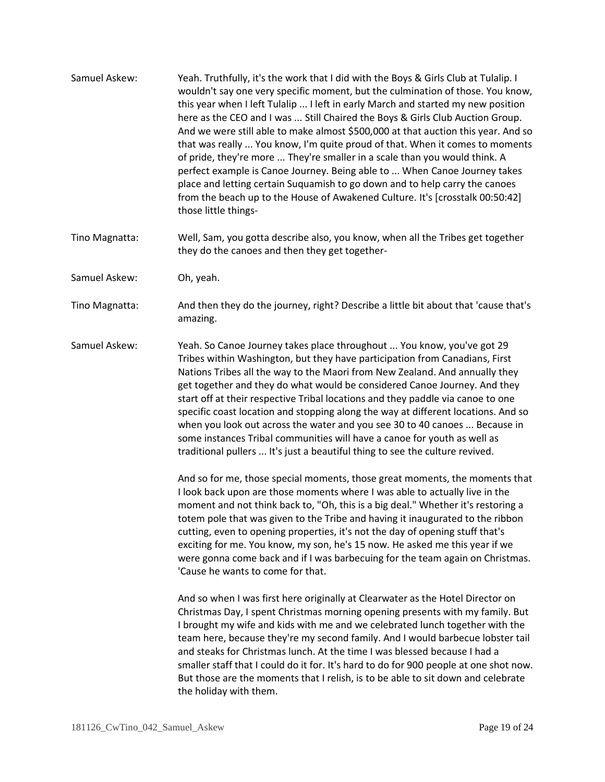- Samuel Askew: Yeah. Truthfully, it's the work that I did with the Boys & Girls Club at Tulalip. I wouldn't say one very specific moment, but the culmination of those. You know, this year when I left Tulalip ... I left in early March and started my new position here as the CEO and I was ... Still Chaired the Boys & Girls Club Auction Group. And we were still able to make almost \$500,000 at that auction this year. And so that was really ... You know, I'm quite proud of that. When it comes to moments of pride, they're more ... They're smaller in a scale than you would think. A perfect example is Canoe Journey. Being able to ... When Canoe Journey takes place and letting certain Suquamish to go down and to help carry the canoes from the beach up to the House of Awakened Culture. It's [crosstalk 00:50:42] those little things-
- Tino Magnatta: Well, Sam, you gotta describe also, you know, when all the Tribes get together they do the canoes and then they get together-
- Samuel Askew: Oh, yeah.
- Tino Magnatta: And then they do the journey, right? Describe a little bit about that 'cause that's amazing.
- Samuel Askew: Yeah. So Canoe Journey takes place throughout ... You know, you've got 29 Tribes within Washington, but they have participation from Canadians, First Nations Tribes all the way to the Maori from New Zealand. And annually they get together and they do what would be considered Canoe Journey. And they start off at their respective Tribal locations and they paddle via canoe to one specific coast location and stopping along the way at different locations. And so when you look out across the water and you see 30 to 40 canoes ... Because in some instances Tribal communities will have a canoe for youth as well as traditional pullers ... It's just a beautiful thing to see the culture revived.

And so for me, those special moments, those great moments, the moments that I look back upon are those moments where I was able to actually live in the moment and not think back to, "Oh, this is a big deal." Whether it's restoring a totem pole that was given to the Tribe and having it inaugurated to the ribbon cutting, even to opening properties, it's not the day of opening stuff that's exciting for me. You know, my son, he's 15 now. He asked me this year if we were gonna come back and if I was barbecuing for the team again on Christmas. 'Cause he wants to come for that.

And so when I was first here originally at Clearwater as the Hotel Director on Christmas Day, I spent Christmas morning opening presents with my family. But I brought my wife and kids with me and we celebrated lunch together with the team here, because they're my second family. And I would barbecue lobster tail and steaks for Christmas lunch. At the time I was blessed because I had a smaller staff that I could do it for. It's hard to do for 900 people at one shot now. But those are the moments that I relish, is to be able to sit down and celebrate the holiday with them.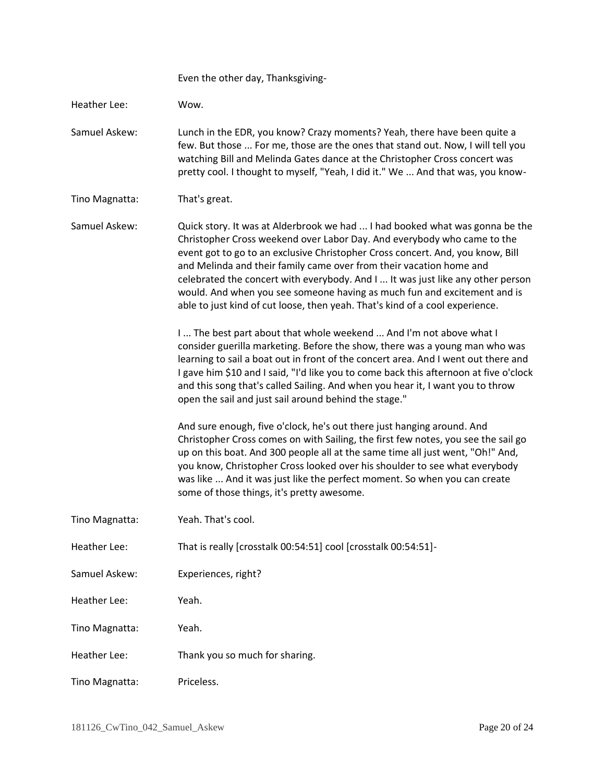Even the other day, Thanksgiving-

Heather Lee: Wow.

Samuel Askew: Lunch in the EDR, you know? Crazy moments? Yeah, there have been quite a few. But those ... For me, those are the ones that stand out. Now, I will tell you watching Bill and Melinda Gates dance at the Christopher Cross concert was pretty cool. I thought to myself, "Yeah, I did it." We ... And that was, you know-

Tino Magnatta: That's great.

Samuel Askew: Quick story. It was at Alderbrook we had ... I had booked what was gonna be the Christopher Cross weekend over Labor Day. And everybody who came to the event got to go to an exclusive Christopher Cross concert. And, you know, Bill and Melinda and their family came over from their vacation home and celebrated the concert with everybody. And I ... It was just like any other person would. And when you see someone having as much fun and excitement and is able to just kind of cut loose, then yeah. That's kind of a cool experience.

> I ... The best part about that whole weekend ... And I'm not above what I consider guerilla marketing. Before the show, there was a young man who was learning to sail a boat out in front of the concert area. And I went out there and I gave him \$10 and I said, "I'd like you to come back this afternoon at five o'clock and this song that's called Sailing. And when you hear it, I want you to throw open the sail and just sail around behind the stage."

And sure enough, five o'clock, he's out there just hanging around. And Christopher Cross comes on with Sailing, the first few notes, you see the sail go up on this boat. And 300 people all at the same time all just went, "Oh!" And, you know, Christopher Cross looked over his shoulder to see what everybody was like ... And it was just like the perfect moment. So when you can create some of those things, it's pretty awesome.

- Tino Magnatta: Yeah. That's cool.
- Heather Lee: That is really [crosstalk 00:54:51] cool [crosstalk 00:54:51]-
- Samuel Askew: Experiences, right?
- Heather Lee: Yeah.
- Tino Magnatta: Yeah.
- Heather Lee: Thank you so much for sharing.
- Tino Magnatta: Priceless.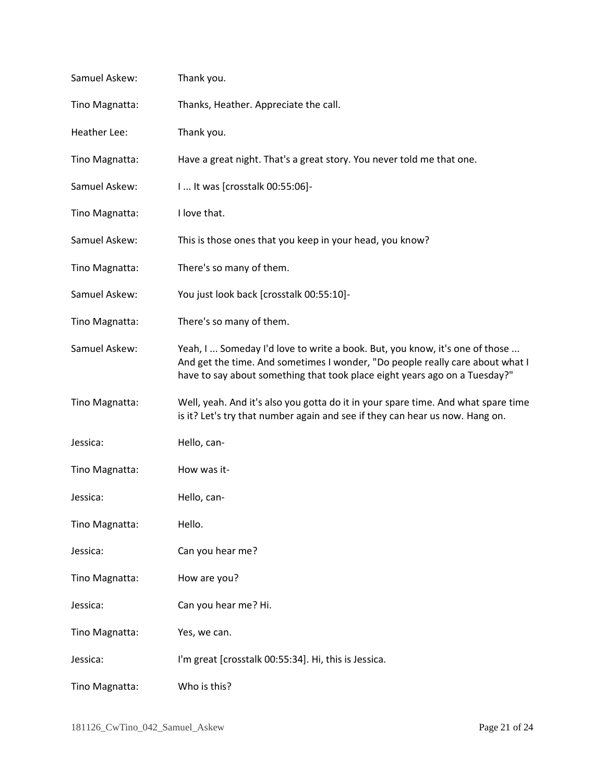| Samuel Askew:  | Thank you.                                                                                                                                                                                                                                 |
|----------------|--------------------------------------------------------------------------------------------------------------------------------------------------------------------------------------------------------------------------------------------|
| Tino Magnatta: | Thanks, Heather. Appreciate the call.                                                                                                                                                                                                      |
| Heather Lee:   | Thank you.                                                                                                                                                                                                                                 |
| Tino Magnatta: | Have a great night. That's a great story. You never told me that one.                                                                                                                                                                      |
| Samuel Askew:  | 1 It was [crosstalk 00:55:06]-                                                                                                                                                                                                             |
| Tino Magnatta: | I love that.                                                                                                                                                                                                                               |
| Samuel Askew:  | This is those ones that you keep in your head, you know?                                                                                                                                                                                   |
| Tino Magnatta: | There's so many of them.                                                                                                                                                                                                                   |
| Samuel Askew:  | You just look back [crosstalk 00:55:10]-                                                                                                                                                                                                   |
| Tino Magnatta: | There's so many of them.                                                                                                                                                                                                                   |
| Samuel Askew:  | Yeah, I  Someday I'd love to write a book. But, you know, it's one of those<br>And get the time. And sometimes I wonder, "Do people really care about what I<br>have to say about something that took place eight years ago on a Tuesday?" |
| Tino Magnatta: | Well, yeah. And it's also you gotta do it in your spare time. And what spare time<br>is it? Let's try that number again and see if they can hear us now. Hang on.                                                                          |
| Jessica:       | Hello, can-                                                                                                                                                                                                                                |
| Tino Magnatta: | How was it-                                                                                                                                                                                                                                |
| Jessica:       | Hello, can-                                                                                                                                                                                                                                |
| Tino Magnatta: | Hello.                                                                                                                                                                                                                                     |
| Jessica:       | Can you hear me?                                                                                                                                                                                                                           |
| Tino Magnatta: | How are you?                                                                                                                                                                                                                               |
| Jessica:       | Can you hear me? Hi.                                                                                                                                                                                                                       |
| Tino Magnatta: | Yes, we can.                                                                                                                                                                                                                               |
| Jessica:       | I'm great [crosstalk 00:55:34]. Hi, this is Jessica.                                                                                                                                                                                       |
| Tino Magnatta: | Who is this?                                                                                                                                                                                                                               |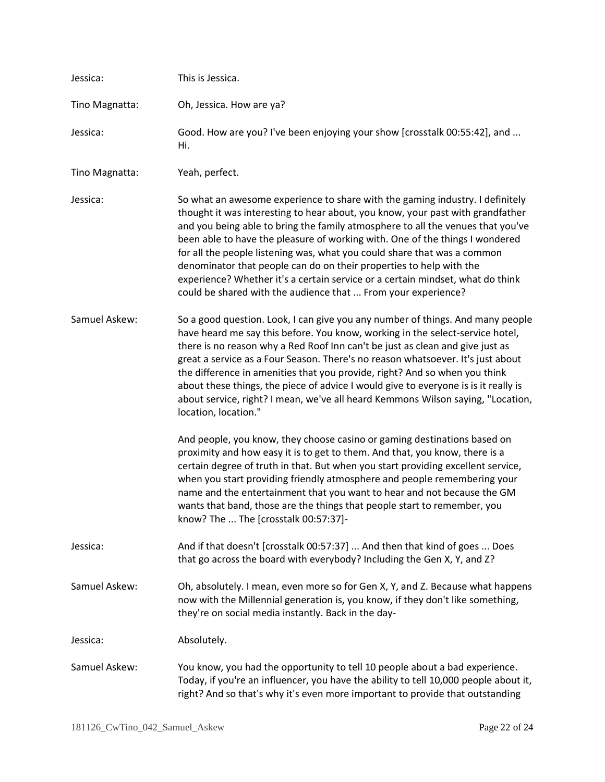| Jessica:       | This is Jessica.                                                                                                                                                                                                                                                                                                                                                                                                                                                                                                                                                                                                                         |
|----------------|------------------------------------------------------------------------------------------------------------------------------------------------------------------------------------------------------------------------------------------------------------------------------------------------------------------------------------------------------------------------------------------------------------------------------------------------------------------------------------------------------------------------------------------------------------------------------------------------------------------------------------------|
| Tino Magnatta: | Oh, Jessica. How are ya?                                                                                                                                                                                                                                                                                                                                                                                                                                                                                                                                                                                                                 |
| Jessica:       | Good. How are you? I've been enjoying your show [crosstalk 00:55:42], and<br>Hi.                                                                                                                                                                                                                                                                                                                                                                                                                                                                                                                                                         |
| Tino Magnatta: | Yeah, perfect.                                                                                                                                                                                                                                                                                                                                                                                                                                                                                                                                                                                                                           |
| Jessica:       | So what an awesome experience to share with the gaming industry. I definitely<br>thought it was interesting to hear about, you know, your past with grandfather<br>and you being able to bring the family atmosphere to all the venues that you've<br>been able to have the pleasure of working with. One of the things I wondered<br>for all the people listening was, what you could share that was a common<br>denominator that people can do on their properties to help with the<br>experience? Whether it's a certain service or a certain mindset, what do think<br>could be shared with the audience that  From your experience? |
| Samuel Askew:  | So a good question. Look, I can give you any number of things. And many people<br>have heard me say this before. You know, working in the select-service hotel,<br>there is no reason why a Red Roof Inn can't be just as clean and give just as<br>great a service as a Four Season. There's no reason whatsoever. It's just about<br>the difference in amenities that you provide, right? And so when you think<br>about these things, the piece of advice I would give to everyone is is it really is<br>about service, right? I mean, we've all heard Kemmons Wilson saying, "Location,<br>location, location."                      |
|                | And people, you know, they choose casino or gaming destinations based on<br>proximity and how easy it is to get to them. And that, you know, there is a<br>certain degree of truth in that. But when you start providing excellent service,<br>when you start providing friendly atmosphere and people remembering your<br>name and the entertainment that you want to hear and not because the GM<br>wants that band, those are the things that people start to remember, you<br>know? The  The [crosstalk 00:57:37]-                                                                                                                   |
| Jessica:       | And if that doesn't [crosstalk 00:57:37]  And then that kind of goes  Does<br>that go across the board with everybody? Including the Gen X, Y, and Z?                                                                                                                                                                                                                                                                                                                                                                                                                                                                                    |
| Samuel Askew:  | Oh, absolutely. I mean, even more so for Gen X, Y, and Z. Because what happens<br>now with the Millennial generation is, you know, if they don't like something,<br>they're on social media instantly. Back in the day-                                                                                                                                                                                                                                                                                                                                                                                                                  |
| Jessica:       | Absolutely.                                                                                                                                                                                                                                                                                                                                                                                                                                                                                                                                                                                                                              |
| Samuel Askew:  | You know, you had the opportunity to tell 10 people about a bad experience.<br>Today, if you're an influencer, you have the ability to tell 10,000 people about it,<br>right? And so that's why it's even more important to provide that outstanding                                                                                                                                                                                                                                                                                                                                                                                     |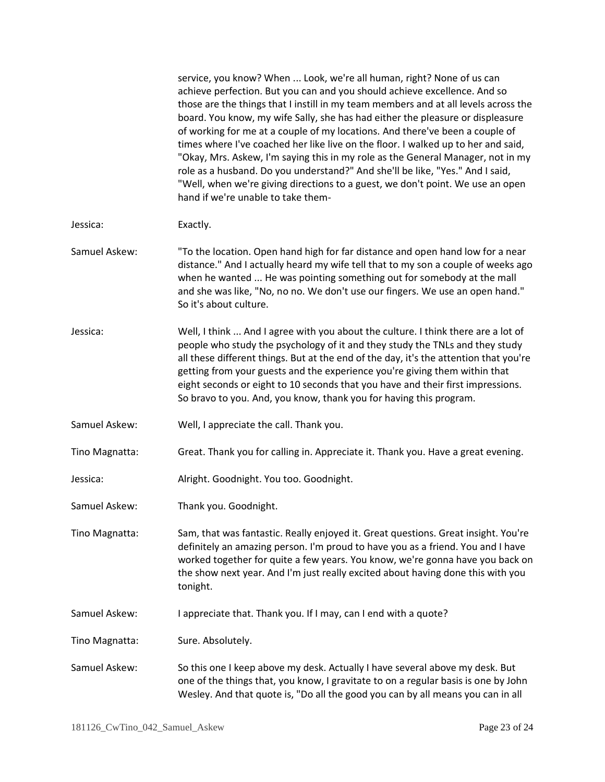|                | service, you know? When  Look, we're all human, right? None of us can<br>achieve perfection. But you can and you should achieve excellence. And so<br>those are the things that I instill in my team members and at all levels across the<br>board. You know, my wife Sally, she has had either the pleasure or displeasure<br>of working for me at a couple of my locations. And there've been a couple of<br>times where I've coached her like live on the floor. I walked up to her and said,<br>"Okay, Mrs. Askew, I'm saying this in my role as the General Manager, not in my<br>role as a husband. Do you understand?" And she'll be like, "Yes." And I said,<br>"Well, when we're giving directions to a guest, we don't point. We use an open<br>hand if we're unable to take them- |
|----------------|----------------------------------------------------------------------------------------------------------------------------------------------------------------------------------------------------------------------------------------------------------------------------------------------------------------------------------------------------------------------------------------------------------------------------------------------------------------------------------------------------------------------------------------------------------------------------------------------------------------------------------------------------------------------------------------------------------------------------------------------------------------------------------------------|
| Jessica:       | Exactly.                                                                                                                                                                                                                                                                                                                                                                                                                                                                                                                                                                                                                                                                                                                                                                                     |
| Samuel Askew:  | "To the location. Open hand high for far distance and open hand low for a near<br>distance." And I actually heard my wife tell that to my son a couple of weeks ago<br>when he wanted  He was pointing something out for somebody at the mall<br>and she was like, "No, no no. We don't use our fingers. We use an open hand."<br>So it's about culture.                                                                                                                                                                                                                                                                                                                                                                                                                                     |
| Jessica:       | Well, I think  And I agree with you about the culture. I think there are a lot of<br>people who study the psychology of it and they study the TNLs and they study<br>all these different things. But at the end of the day, it's the attention that you're<br>getting from your guests and the experience you're giving them within that<br>eight seconds or eight to 10 seconds that you have and their first impressions.<br>So bravo to you. And, you know, thank you for having this program.                                                                                                                                                                                                                                                                                            |
| Samuel Askew:  | Well, I appreciate the call. Thank you.                                                                                                                                                                                                                                                                                                                                                                                                                                                                                                                                                                                                                                                                                                                                                      |
| Tino Magnatta: | Great. Thank you for calling in. Appreciate it. Thank you. Have a great evening.                                                                                                                                                                                                                                                                                                                                                                                                                                                                                                                                                                                                                                                                                                             |
| Jessica:       | Alright. Goodnight. You too. Goodnight.                                                                                                                                                                                                                                                                                                                                                                                                                                                                                                                                                                                                                                                                                                                                                      |
| Samuel Askew:  | Thank you. Goodnight.                                                                                                                                                                                                                                                                                                                                                                                                                                                                                                                                                                                                                                                                                                                                                                        |
| Tino Magnatta: | Sam, that was fantastic. Really enjoyed it. Great questions. Great insight. You're<br>definitely an amazing person. I'm proud to have you as a friend. You and I have<br>worked together for quite a few years. You know, we're gonna have you back on<br>the show next year. And I'm just really excited about having done this with you<br>tonight.                                                                                                                                                                                                                                                                                                                                                                                                                                        |
| Samuel Askew:  | I appreciate that. Thank you. If I may, can I end with a quote?                                                                                                                                                                                                                                                                                                                                                                                                                                                                                                                                                                                                                                                                                                                              |
| Tino Magnatta: | Sure. Absolutely.                                                                                                                                                                                                                                                                                                                                                                                                                                                                                                                                                                                                                                                                                                                                                                            |
| Samuel Askew:  | So this one I keep above my desk. Actually I have several above my desk. But<br>one of the things that, you know, I gravitate to on a regular basis is one by John<br>Wesley. And that quote is, "Do all the good you can by all means you can in all                                                                                                                                                                                                                                                                                                                                                                                                                                                                                                                                        |